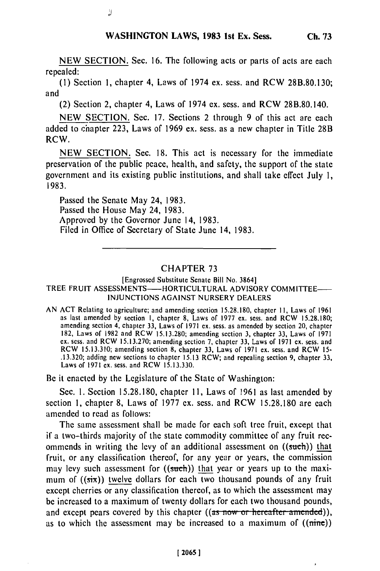NEW SECTION. Sec. 16. The following acts or parts of acts are each repealed:

(1) Section **1,** chapter 4, Laws of 1974 ex. sess. and RCW 28B.80.130; and

(2) Section 2, chapter 4, Laws of 1974 ex. sess. and RCW 28B.80.140.

NEW SECTION. Sec. 17. Sections 2 through 9 of this act are each added to chapter 223, Laws of 1969 ex. sess. as a new chapter in Title 28B RCW.

NEW SECTION. Sec. 18. This act is necessary for the immediate preservation of the public peace, health, and safety, the support of the state government and its existing public institutions, and shall take effect July 1, 1983.

Passed the Senate May 24, 1983. Passed the House May 24, 1983. Approved by the Governor June 14, 1983. Filed in Office of Secretary of State June 14, 1983.

J)

## CHAPTER 73

## [Engrossed Substitute Senate Bill No. 3864] TREE FRUIT ASSESSMENTS---HORTICULTURAL ADVISORY COMMITTEE-INJUNCTIONS AGAINST NURSERY DEALERS

AN ACT Relating to agriculture; and amending section 15.28.180, chapter **1I,** Laws of 1961 as last amended by section I, chapter 8, Laws of 1977 ex. sess. and RCW 15.28.180; amending section 4, chapter 33, Laws of 1971 ex. sess. as amended by section 20, chapter 182, Laws of 1982 and RCW 15.13.280; amending section 3, chapter 33, Laws of 1971 ex. sess. and RCW 15.13.270; amending section 7, chapter 33, Laws of 1971 cx. sess. and RCW 15.13.310; amending section 8, chapter 33, Laws of 1971 ex. sess. and RCW 15- .13.320; adding new sections to chapter 15.13 RCW; and repealing section 9, chapter 33, Laws of 1971 ex. sess. and RCW 15.13.330.

Be it enacted by the Legislature of the State of Washington:

Sec. **1.** Section 15.28.180, chapter **11,** Laws of 1961 as last amended by section 1, chapter 8, Laws of 1977 ex. sess. and RCW 15.28.180 are each amended to read as follows:

The same assessment shall be made for each soft tree fruit, except that if a two-thirds majority of the state commodity committee of any fruit recommends in writing the levy of an additional assessment on ((such)) that fruit, or any classification thereof, for any year or years, the commission may levy such assessment for  $((such))$  that year or years up to the maximum of  $((\overline{\text{six}}))$  twelve dollars for each two thousand pounds of any fruit except cherries or any classification thereof, as to which the assessment may be increased to a maximum of twenty dollars for each two thousand pounds, and except pears covered by this chapter ((as now or hereafter amended)), as to which the assessment may be increased to a maximum of  $((\text{time}))$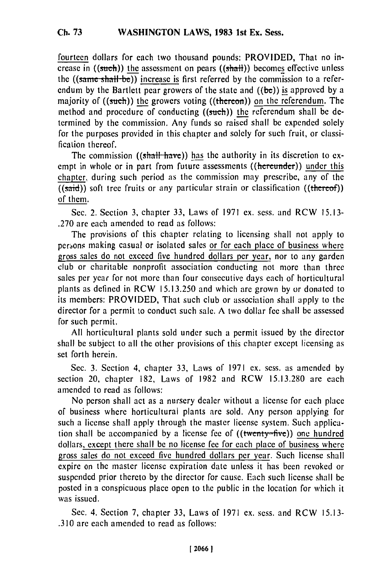fourteen dollars for each two thousand pounds: PROVIDED, That no increase in  $((such))$  the assessment on pears  $((shall))$  becomes effective unless the ((same shall be)) increase is first referred by the commission to a referendum **by** the Bartlett pear growers of the state and ((be)) is approved **by** a majority of ((such)) **the** growers voting ((thereon)) on the referendum. The method and procedure of conducting ((such)) the referendum shall be determined **by** the commission, Any funds so raised shall be expended solely for the purposes provided in this chapter and solely for such fruit, or classification thereof.

The commission ((shall have)) has the authority in its discretion to exempt in whole or in part from future assessments ((hereunder)) under this chapter, during such period as the commission may prescribe, any of the  $((said))$  soft tree fruits or any particular strain or classification  $((theref))$ of them.

Sec. 2. Section 3, chapter 33, Laws of 1971 ex. sess. and RCW 15.13- .270 are each amended to read as follows:

The provisions of this chapter relating to licensing shall not apply to persons making casual or isolated sales or for each place of business where gross sales do not exceed five hundred dollars per year, nor to any garden club or charitable nonprofit association conducting not more than three sales per year for not more than four consecutive days each of horticultural plants as defined in RCW 15.13.250 and which are grown by or donated to its members: PROVIDED, That such club or association shall apply to the director for a permit to conduct such sale. A two dollar fee shall **be** assessed for such permit.

All horticultural plants sold under such a permit issued by the director shall be subject to all the other provisions of this chapter except licensing as set forth herein.

Sec. 3. Section 4, chapter 33, Laws of 1971 ex. sess. as amended by section 20, chapter 182, Laws of 1982 and RCW 15.13.280 are each amended to read as follows:

No person shall act as a nursery dealer without a license for each place of business where horticultural plants are sold. Any person applying for such a license shall apply through the master license system. Such application shall be accompanied by a license fee of  $((\text{twenty=five}))$  one hundred dollars, except there shall be no license fee for each place of business where gross sales do not exceed five hundred dollars per year. Such license shall expire on the master license expiration date unless it has been revoked or suspended prior thereto by the director for cause. Each such license shall be posted in a conspicuous place open to the public in the location for which it was issued.

Sec. 4. Section 7, chapter 33, Laws of 1971 ex. sess. and RCW 15.13- .310 are each amended to read as follows: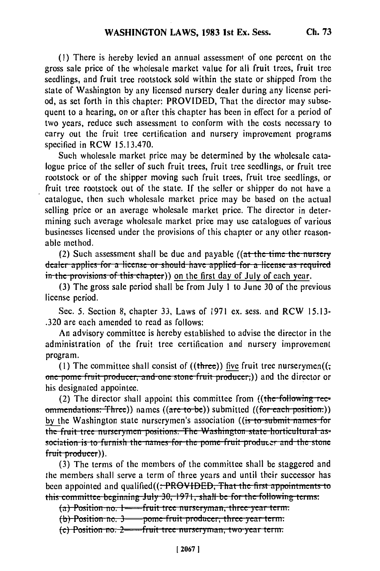**(1) There** is hereby levied an annual assessment of one percent on the gross sale price of the wholesale market value for all fruit trees, fruit tree seedlings, and fruit tree rootstock sold within the state or shipped from the state of Washington **by** any licensed nursery dealer during any license period, as set forth in this chapter: PROVIDED, That the director may subsequent to a hearing, on or after this chapter has been in effect for a period of two years, reduce such assessment to conform with the costs necessary to carry out the fruit tree certification and nursery improvement programs specified in RCW 15.13.470.

Such wholesale market price may be determined **by** the wholesale catalogue price of the seller of such fruit trees, fruit tree seedlings, or fruit tree rootstock or of the shipper moving such fruit trees, fruit tree seedlings, or fruit tree rootstock out of the state. If the seller or shipper do not have a catalogue, then such wholesale market price may be based on the actual selling price or an average wholesale market price. The director in determining such average wholesale market price may use catalogues of various businesses licensed under the provisions of this chapter or any other reasonable method.

(2) Such assessment shall be due and payable ((at the time the nursery dealer applies for a license or should have applied for a license as required<br>in the provisions of this chapter)) on the first day of July of each year.

(3) The gross sale period shall be from July 1 to June 30 of the previous license period.

Sec. 5. Section 8, chapter 33, Laws of 1971 ex. sess. and RCW 15.13- .320 are each amended to read as follows:

An advisory committee is hereby established to advise the director in the administration of the fruit tree certification and nursery improvement program.

(1) The committee shall consist of  $((three))$  five fruit tree nurserymen $((\tau)^2)$ **one** pome fruit producer, and one stone fruit producer;)) and the director or his designated appointee.

(2) The director shall appoint this committee from ((the following recommendations: Three)) names ((are-to-be)) submitted ((for-each-position.)) by the Washington state nurserymen's association ((is to submit names for **by the washington state hurseryllien's association (is to submit hames for** the fruit tree nurserymen positions. The washington state horticultural as sociation is to furnish the names for the pome fruit producer and the stone fruit producer)).

(3) The terms of the members of the committee shall be staggered and the members shall serve a term of three years and until their successor has been appointed and qualified(( $\div$ PROVIDED, That the first appointments to this committee beginning July 30, 1971, shall be for the following terms:

**(a)** Prosition **i.** I **-frut** tice **ui seiynaiI,** three **year** term.

**(b) PusLiun u.** 3-poi- fi **iut pi uci,** thre *ycai* **te.'i.**

**(c) i** conton no. **2 point included** productly three joint verm.